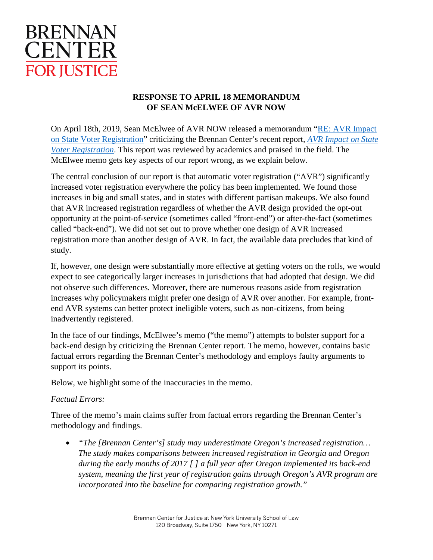

## **RESPONSE TO APRIL 18 MEMORANDUM OF SEAN McELWEE OF AVR NOW**

On April 18th, 2019, Sean McElwee of AVR NOW released a memorandum ["RE: AVR Impact](http://filesforprogress.org/memos/ffp-brennan-center-letter.pdf)  [on State Voter Registration"](http://filesforprogress.org/memos/ffp-brennan-center-letter.pdf) criticizing the Brennan Center's recent report, *[AVR Impact on State](https://www.brennancenter.org/publication/avr-impact-state-voter-registration)  [Voter Registration](https://www.brennancenter.org/publication/avr-impact-state-voter-registration)*. This report was reviewed by academics and praised in the field. The McElwee memo gets key aspects of our report wrong, as we explain below.

The central conclusion of our report is that automatic voter registration ("AVR") significantly increased voter registration everywhere the policy has been implemented. We found those increases in big and small states, and in states with different partisan makeups. We also found that AVR increased registration regardless of whether the AVR design provided the opt-out opportunity at the point-of-service (sometimes called "front-end") or after-the-fact (sometimes called "back-end"). We did not set out to prove whether one design of AVR increased registration more than another design of AVR. In fact, the available data precludes that kind of study.

If, however, one design were substantially more effective at getting voters on the rolls, we would expect to see categorically larger increases in jurisdictions that had adopted that design. We did not observe such differences. Moreover, there are numerous reasons aside from registration increases why policymakers might prefer one design of AVR over another. For example, frontend AVR systems can better protect ineligible voters, such as non-citizens, from being inadvertently registered.

In the face of our findings, McElwee's memo ("the memo") attempts to bolster support for a back-end design by criticizing the Brennan Center report. The memo, however, contains basic factual errors regarding the Brennan Center's methodology and employs faulty arguments to support its points.

Below, we highlight some of the inaccuracies in the memo.

## *Factual Errors:*

Three of the memo's main claims suffer from factual errors regarding the Brennan Center's methodology and findings.

• *"The [Brennan Center's] study may underestimate Oregon's increased registration… The study makes comparisons between increased registration in Georgia and Oregon during the early months of 2017 [ ] a full year after Oregon implemented its back-end system, meaning the first year of registration gains through Oregon's AVR program are incorporated into the baseline for comparing registration growth."*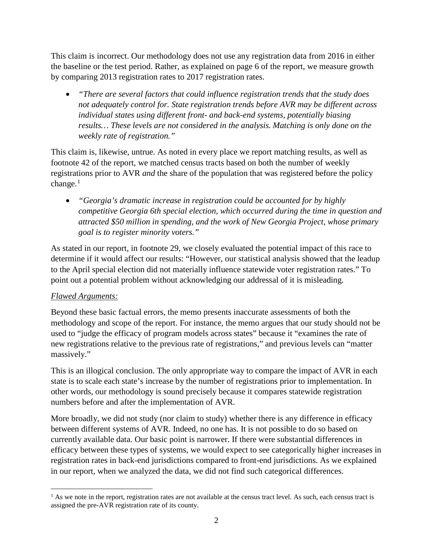This claim is incorrect. Our methodology does not use any registration data from 2016 in either the baseline or the test period. Rather, as explained on page 6 of the report, we measure growth by comparing 2013 registration rates to 2017 registration rates.

• *"There are several factors that could influence registration trends that the study does not adequately control for. State registration trends before AVR may be different across individual states using different front- and back-end systems, potentially biasing results… These levels are not considered in the analysis. Matching is only done on the weekly rate of registration."*

This claim is, likewise, untrue. As noted in every place we report matching results, as well as footnote 42 of the report, we matched census tracts based on both the number of weekly registrations prior to AVR *and* the share of the population that was registered before the policy change.<sup>[1](#page-1-0)</sup>

• *"Georgia's dramatic increase in registration could be accounted for by highly competitive Georgia 6th special election, which occurred during the time in question and attracted \$50 million in spending, and the work of New Georgia Project, whose primary goal is to register minority voters."*

As stated in our report, in footnote 29, we closely evaluated the potential impact of this race to determine if it would affect our results: "However, our statistical analysis showed that the leadup to the April special election did not materially influence statewide voter registration rates." To point out a potential problem without acknowledging our addressal of it is misleading.

## *Flawed Arguments:*

l

Beyond these basic factual errors, the memo presents inaccurate assessments of both the methodology and scope of the report. For instance, the memo argues that our study should not be used to "judge the efficacy of program models across states" because it "examines the rate of new registrations relative to the previous rate of registrations," and previous levels can "matter massively."

This is an illogical conclusion. The only appropriate way to compare the impact of AVR in each state is to scale each state's increase by the number of registrations prior to implementation. In other words, our methodology is sound precisely because it compares statewide registration numbers before and after the implementation of AVR.

More broadly, we did not study (nor claim to study) whether there is any difference in efficacy between different systems of AVR. Indeed, no one has. It is not possible to do so based on currently available data. Our basic point is narrower. If there were substantial differences in efficacy between these types of systems, we would expect to see categorically higher increases in registration rates in back-end jurisdictions compared to front-end jurisdictions. As we explained in our report, when we analyzed the data, we did not find such categorical differences.

<span id="page-1-0"></span> $<sup>1</sup>$  As we note in the report, registration rates are not available at the census tract level. As such, each census tract is</sup> assigned the pre-AVR registration rate of its county.